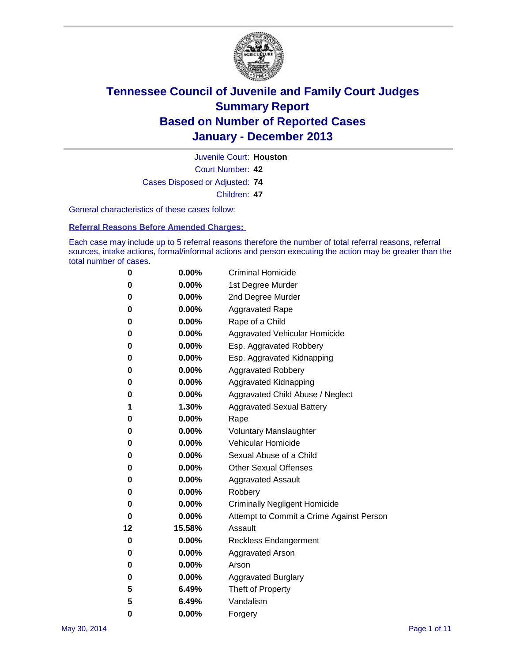

Court Number: **42** Juvenile Court: **Houston** Cases Disposed or Adjusted: **74** Children: **47**

General characteristics of these cases follow:

**Referral Reasons Before Amended Charges:** 

Each case may include up to 5 referral reasons therefore the number of total referral reasons, referral sources, intake actions, formal/informal actions and person executing the action may be greater than the total number of cases.

| 0  | $0.00\%$ | <b>Criminal Homicide</b>                 |  |  |  |  |
|----|----------|------------------------------------------|--|--|--|--|
| 0  | 0.00%    | 1st Degree Murder                        |  |  |  |  |
| 0  | 0.00%    | 2nd Degree Murder                        |  |  |  |  |
| 0  | $0.00\%$ | <b>Aggravated Rape</b>                   |  |  |  |  |
| 0  | 0.00%    | Rape of a Child                          |  |  |  |  |
| 0  | $0.00\%$ | <b>Aggravated Vehicular Homicide</b>     |  |  |  |  |
| 0  | 0.00%    | Esp. Aggravated Robbery                  |  |  |  |  |
| 0  | 0.00%    | Esp. Aggravated Kidnapping               |  |  |  |  |
| 0  | $0.00\%$ | <b>Aggravated Robbery</b>                |  |  |  |  |
| 0  | 0.00%    | Aggravated Kidnapping                    |  |  |  |  |
| 0  | 0.00%    | Aggravated Child Abuse / Neglect         |  |  |  |  |
| 1  | 1.30%    | <b>Aggravated Sexual Battery</b>         |  |  |  |  |
| 0  | 0.00%    | Rape                                     |  |  |  |  |
| 0  | 0.00%    | <b>Voluntary Manslaughter</b>            |  |  |  |  |
| 0  | 0.00%    | Vehicular Homicide                       |  |  |  |  |
| 0  | 0.00%    | Sexual Abuse of a Child                  |  |  |  |  |
| 0  | 0.00%    | <b>Other Sexual Offenses</b>             |  |  |  |  |
| 0  | 0.00%    | <b>Aggravated Assault</b>                |  |  |  |  |
| 0  | 0.00%    | Robbery                                  |  |  |  |  |
| 0  | 0.00%    | <b>Criminally Negligent Homicide</b>     |  |  |  |  |
| 0  | 0.00%    | Attempt to Commit a Crime Against Person |  |  |  |  |
| 12 | 15.58%   | Assault                                  |  |  |  |  |
| 0  | 0.00%    | <b>Reckless Endangerment</b>             |  |  |  |  |
| 0  | 0.00%    | <b>Aggravated Arson</b>                  |  |  |  |  |
| 0  | $0.00\%$ | Arson                                    |  |  |  |  |
| 0  | 0.00%    | <b>Aggravated Burglary</b>               |  |  |  |  |
| 5  | 6.49%    | Theft of Property                        |  |  |  |  |
| 5  | 6.49%    | Vandalism                                |  |  |  |  |
| 0  | 0.00%    | Forgery                                  |  |  |  |  |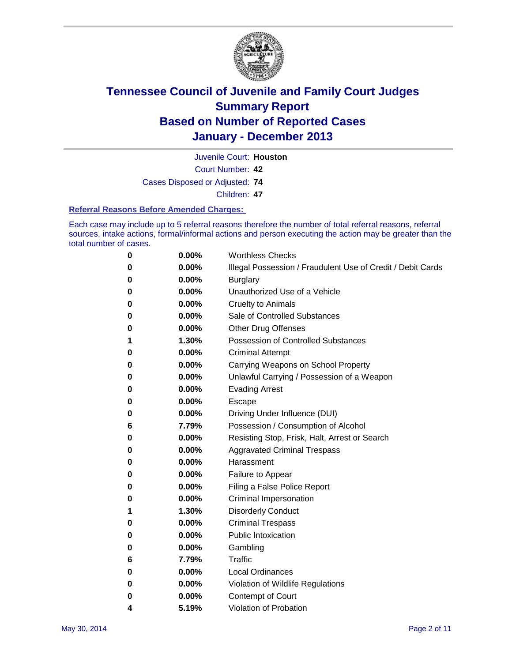

Juvenile Court: **Houston**

Court Number: **42**

Cases Disposed or Adjusted: **74**

Children: **47**

#### **Referral Reasons Before Amended Charges:**

Each case may include up to 5 referral reasons therefore the number of total referral reasons, referral sources, intake actions, formal/informal actions and person executing the action may be greater than the total number of cases.

| 0 | 0.00%    | <b>Worthless Checks</b>                                     |
|---|----------|-------------------------------------------------------------|
| 0 | 0.00%    | Illegal Possession / Fraudulent Use of Credit / Debit Cards |
| 0 | 0.00%    | <b>Burglary</b>                                             |
| 0 | $0.00\%$ | Unauthorized Use of a Vehicle                               |
| 0 | 0.00%    | <b>Cruelty to Animals</b>                                   |
| 0 | $0.00\%$ | Sale of Controlled Substances                               |
| 0 | 0.00%    | <b>Other Drug Offenses</b>                                  |
| 1 | 1.30%    | Possession of Controlled Substances                         |
| 0 | 0.00%    | <b>Criminal Attempt</b>                                     |
| 0 | 0.00%    | Carrying Weapons on School Property                         |
| 0 | 0.00%    | Unlawful Carrying / Possession of a Weapon                  |
| 0 | 0.00%    | <b>Evading Arrest</b>                                       |
| 0 | 0.00%    | Escape                                                      |
| 0 | 0.00%    | Driving Under Influence (DUI)                               |
| 6 | 7.79%    | Possession / Consumption of Alcohol                         |
| 0 | $0.00\%$ | Resisting Stop, Frisk, Halt, Arrest or Search               |
| 0 | 0.00%    | <b>Aggravated Criminal Trespass</b>                         |
| 0 | 0.00%    | Harassment                                                  |
| 0 | 0.00%    | Failure to Appear                                           |
| 0 | 0.00%    | Filing a False Police Report                                |
| 0 | $0.00\%$ | Criminal Impersonation                                      |
| 1 | 1.30%    | <b>Disorderly Conduct</b>                                   |
| 0 | 0.00%    | <b>Criminal Trespass</b>                                    |
| 0 | 0.00%    | <b>Public Intoxication</b>                                  |
| 0 | 0.00%    | Gambling                                                    |
| 6 | 7.79%    | Traffic                                                     |
| 0 | $0.00\%$ | <b>Local Ordinances</b>                                     |
| 0 | 0.00%    | Violation of Wildlife Regulations                           |
| 0 | $0.00\%$ | Contempt of Court                                           |
| 4 | 5.19%    | Violation of Probation                                      |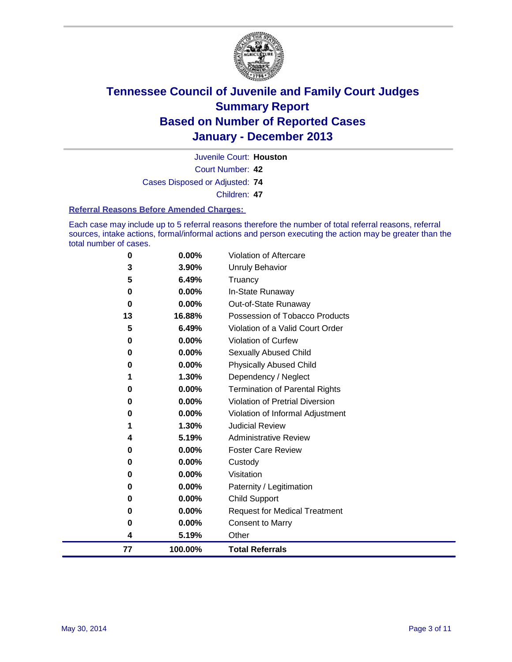

Juvenile Court: **Houston**

Court Number: **42**

Cases Disposed or Adjusted: **74**

Children: **47**

#### **Referral Reasons Before Amended Charges:**

Each case may include up to 5 referral reasons therefore the number of total referral reasons, referral sources, intake actions, formal/informal actions and person executing the action may be greater than the total number of cases.

| 0  | $0.00\%$ | <b>Violation of Aftercare</b>          |
|----|----------|----------------------------------------|
| 3  | 3.90%    | <b>Unruly Behavior</b>                 |
| 5  | 6.49%    | Truancy                                |
| 0  | 0.00%    | In-State Runaway                       |
| 0  | 0.00%    | Out-of-State Runaway                   |
| 13 | 16.88%   | Possession of Tobacco Products         |
| 5  | 6.49%    | Violation of a Valid Court Order       |
| 0  | 0.00%    | Violation of Curfew                    |
| 0  | $0.00\%$ | Sexually Abused Child                  |
| 0  | $0.00\%$ | <b>Physically Abused Child</b>         |
| 1  | 1.30%    | Dependency / Neglect                   |
| 0  | $0.00\%$ | <b>Termination of Parental Rights</b>  |
| 0  | 0.00%    | <b>Violation of Pretrial Diversion</b> |
| 0  | 0.00%    | Violation of Informal Adjustment       |
| 1  | 1.30%    | <b>Judicial Review</b>                 |
| 4  | 5.19%    | <b>Administrative Review</b>           |
| 0  | 0.00%    | <b>Foster Care Review</b>              |
| 0  | 0.00%    | Custody                                |
| 0  | 0.00%    | Visitation                             |
| 0  | 0.00%    | Paternity / Legitimation               |
| 0  | 0.00%    | <b>Child Support</b>                   |
| 0  | 0.00%    | <b>Request for Medical Treatment</b>   |
| 0  | 0.00%    | <b>Consent to Marry</b>                |
| 4  | 5.19%    | Other                                  |
| 77 | 100.00%  | <b>Total Referrals</b>                 |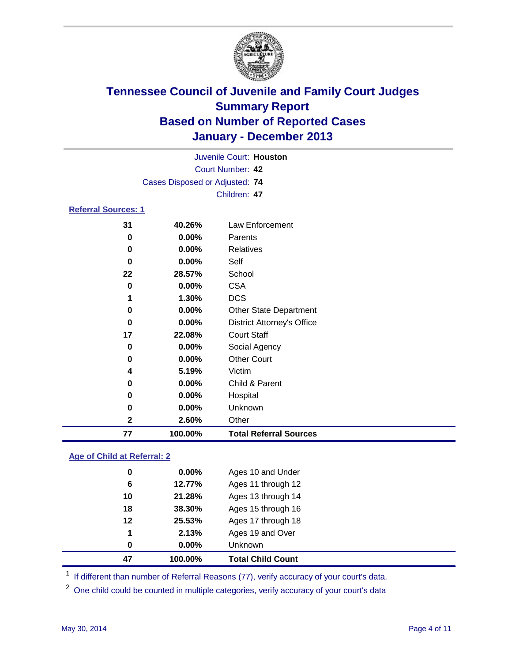

|                            |                                |          | Juvenile Court: Houston |  |  |
|----------------------------|--------------------------------|----------|-------------------------|--|--|
|                            | Court Number: 42               |          |                         |  |  |
|                            | Cases Disposed or Adjusted: 74 |          |                         |  |  |
|                            |                                |          | Children: 47            |  |  |
| <b>Referral Sources: 1</b> |                                |          |                         |  |  |
|                            | 31                             | 40.26%   | Law Enforcement         |  |  |
|                            | 0                              | $0.00\%$ | Parents                 |  |  |
|                            | 0                              | $0.00\%$ | Relatives               |  |  |
|                            | 0                              | $0.00\%$ | Self                    |  |  |
|                            | 22                             | 28.57%   | School                  |  |  |
|                            | Λ                              | n nnos   | re۸                     |  |  |

### **0.00%** CSA **1.30%** DCS **0.00%** Other State Department **0.00%** District Attorney's Office **22.08%** Court Staff **0.00%** Social Agency **0.00%** Other Court **5.19%** Victim **0.00%** Child & Parent **0.00%** Hospital **0.00%** Unknown **2.60%** Other **100.00% Total Referral Sources**

#### **Age of Child at Referral: 2**

| 0  | 0.00%    | Unknown            |
|----|----------|--------------------|
| 1  | 2.13%    | Ages 19 and Over   |
| 12 | 25.53%   | Ages 17 through 18 |
| 18 | 38.30%   | Ages 15 through 16 |
| 10 | 21.28%   | Ages 13 through 14 |
| 6  | 12.77%   | Ages 11 through 12 |
| 0  | $0.00\%$ | Ages 10 and Under  |
|    |          |                    |

<sup>1</sup> If different than number of Referral Reasons (77), verify accuracy of your court's data.

<sup>2</sup> One child could be counted in multiple categories, verify accuracy of your court's data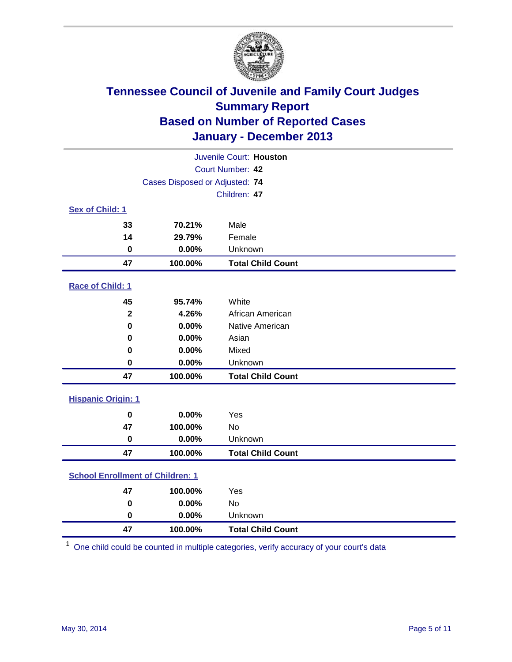

| Juvenile Court: Houston                 |                                |                          |  |  |
|-----------------------------------------|--------------------------------|--------------------------|--|--|
|                                         | Court Number: 42               |                          |  |  |
|                                         | Cases Disposed or Adjusted: 74 |                          |  |  |
|                                         |                                | Children: 47             |  |  |
| Sex of Child: 1                         |                                |                          |  |  |
| 33                                      | 70.21%                         | Male                     |  |  |
| 14                                      | 29.79%                         | Female                   |  |  |
| 0                                       | 0.00%                          | Unknown                  |  |  |
| 47                                      | 100.00%                        | <b>Total Child Count</b> |  |  |
| Race of Child: 1                        |                                |                          |  |  |
| 45                                      | 95.74%                         | White                    |  |  |
| $\overline{\mathbf{2}}$                 | 4.26%                          | African American         |  |  |
| $\bf{0}$                                | 0.00%                          | Native American          |  |  |
| $\bf{0}$                                | 0.00%                          | Asian                    |  |  |
| 0                                       | 0.00%                          | Mixed                    |  |  |
| 0                                       | 0.00%                          | Unknown                  |  |  |
| 47                                      | 100.00%                        | <b>Total Child Count</b> |  |  |
| <b>Hispanic Origin: 1</b>               |                                |                          |  |  |
| $\bf{0}$                                | 0.00%                          | Yes                      |  |  |
| 47                                      | 100.00%                        | <b>No</b>                |  |  |
| $\bf{0}$                                | 0.00%                          | Unknown                  |  |  |
| 47                                      | 100.00%                        | <b>Total Child Count</b> |  |  |
| <b>School Enrollment of Children: 1</b> |                                |                          |  |  |
| 47                                      | 100.00%                        | Yes                      |  |  |
| 0                                       | 0.00%                          | <b>No</b>                |  |  |
| $\pmb{0}$                               | 0.00%                          | Unknown                  |  |  |
| 47                                      | 100.00%                        | <b>Total Child Count</b> |  |  |

One child could be counted in multiple categories, verify accuracy of your court's data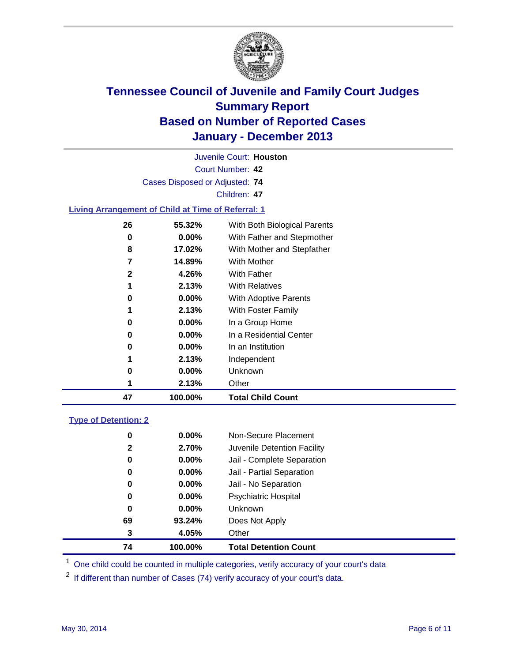

Court Number: **42** Juvenile Court: **Houston** Cases Disposed or Adjusted: **74** Children: **47 Living Arrangement of Child at Time of Referral: 1 55.32%** With Both Biological Parents **0.00%** With Father and Stepmother **17.02%** With Mother and Stepfather **14.89%** With Mother **4.26%** With Father **2.13%** With Relatives

| 47 | 100.00%  | <b>Total Child Count</b>     |
|----|----------|------------------------------|
| 1  | 2.13%    | Other                        |
| 0  | 0.00%    | Unknown                      |
| 1  | 2.13%    | Independent                  |
| 0  | 0.00%    | In an Institution            |
| 0  | $0.00\%$ | In a Residential Center      |
| 0  | $0.00\%$ | In a Group Home              |
| 1  | 2.13%    | With Foster Family           |
| 0  | $0.00\%$ | <b>With Adoptive Parents</b> |
| 1  | 2.13%    | <b>With Relatives</b>        |
| 2  | 4.26%    | <b>With Father</b>           |
|    | 17.VJ/0  | <u>vviuli iviouitoi</u>      |

### **Type of Detention: 2**

| 74           | 100.00%  | <b>Total Detention Count</b> |
|--------------|----------|------------------------------|
| 3            | 4.05%    | Other                        |
| 69           | 93.24%   | Does Not Apply               |
| 0            | $0.00\%$ | <b>Unknown</b>               |
| 0            | $0.00\%$ | <b>Psychiatric Hospital</b>  |
| 0            | 0.00%    | Jail - No Separation         |
| 0            | $0.00\%$ | Jail - Partial Separation    |
| 0            | 0.00%    | Jail - Complete Separation   |
| $\mathbf{2}$ | 2.70%    | Juvenile Detention Facility  |
| 0            | $0.00\%$ | Non-Secure Placement         |
|              |          |                              |

<sup>1</sup> One child could be counted in multiple categories, verify accuracy of your court's data

If different than number of Cases (74) verify accuracy of your court's data.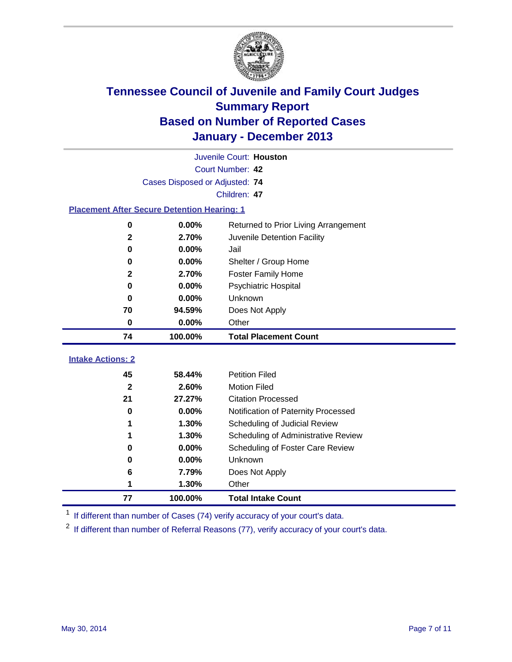

|                                                    | Juvenile Court: Houston        |                                      |  |  |  |
|----------------------------------------------------|--------------------------------|--------------------------------------|--|--|--|
|                                                    | Court Number: 42               |                                      |  |  |  |
|                                                    | Cases Disposed or Adjusted: 74 |                                      |  |  |  |
|                                                    |                                | Children: 47                         |  |  |  |
| <b>Placement After Secure Detention Hearing: 1</b> |                                |                                      |  |  |  |
| 0                                                  | 0.00%                          | Returned to Prior Living Arrangement |  |  |  |
| $\mathbf 2$                                        | 2.70%                          | Juvenile Detention Facility          |  |  |  |
| $\bf{0}$                                           | 0.00%                          | Jail                                 |  |  |  |
| 0                                                  | 0.00%                          | Shelter / Group Home                 |  |  |  |
| $\mathbf{2}$                                       | 2.70%                          | Foster Family Home                   |  |  |  |
| 0                                                  | 0.00%                          | Psychiatric Hospital                 |  |  |  |
| 0                                                  | 0.00%                          | Unknown                              |  |  |  |
| 70                                                 | 94.59%                         | Does Not Apply                       |  |  |  |
| 0                                                  | $0.00\%$                       | Other                                |  |  |  |
| 74                                                 | 100.00%                        | <b>Total Placement Count</b>         |  |  |  |
| <b>Intake Actions: 2</b>                           |                                |                                      |  |  |  |
| 45                                                 | 58.44%                         | <b>Petition Filed</b>                |  |  |  |
| $\overline{2}$                                     | 2.60%                          | <b>Motion Filed</b>                  |  |  |  |
| 21                                                 | 27.27%                         | <b>Citation Processed</b>            |  |  |  |
| 0                                                  | 0.00%                          |                                      |  |  |  |
|                                                    | 1.30%                          | Notification of Paternity Processed  |  |  |  |
| 1                                                  | 1.30%                          | Scheduling of Judicial Review        |  |  |  |
| 1                                                  |                                | Scheduling of Administrative Review  |  |  |  |
| 0                                                  | 0.00%                          | Scheduling of Foster Care Review     |  |  |  |
| 0                                                  | 0.00%                          | Unknown                              |  |  |  |
| 6                                                  | 7.79%                          | Does Not Apply                       |  |  |  |
| Other<br>1.30%<br>1                                |                                |                                      |  |  |  |
| 77                                                 | 100.00%                        | <b>Total Intake Count</b>            |  |  |  |

<sup>1</sup> If different than number of Cases (74) verify accuracy of your court's data.

<sup>2</sup> If different than number of Referral Reasons (77), verify accuracy of your court's data.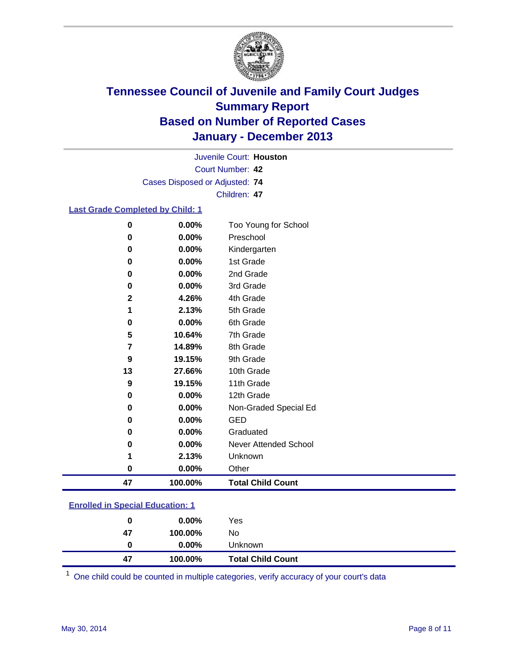

Court Number: **42** Juvenile Court: **Houston** Cases Disposed or Adjusted: **74** Children: **47**

### **Last Grade Completed by Child: 1**

| $\bf{0}$    | 0.00%   | Too Young for School     |
|-------------|---------|--------------------------|
| 0           | 0.00%   | Preschool                |
| 0           | 0.00%   | Kindergarten             |
| 0           | 0.00%   | 1st Grade                |
| 0           | 0.00%   | 2nd Grade                |
| 0           | 0.00%   | 3rd Grade                |
| $\mathbf 2$ | 4.26%   | 4th Grade                |
| 1           | 2.13%   | 5th Grade                |
| 0           | 0.00%   | 6th Grade                |
| 5           | 10.64%  | 7th Grade                |
| 7           | 14.89%  | 8th Grade                |
| 9           | 19.15%  | 9th Grade                |
| 13          | 27.66%  | 10th Grade               |
| 9           | 19.15%  | 11th Grade               |
| 0           | 0.00%   | 12th Grade               |
| 0           | 0.00%   | Non-Graded Special Ed    |
| 0           | 0.00%   | <b>GED</b>               |
| 0           | 0.00%   | Graduated                |
| 0           | 0.00%   | Never Attended School    |
| 1           | 2.13%   | Unknown                  |
| 0           | 0.00%   | Other                    |
| 47          | 100.00% | <b>Total Child Count</b> |

### **Enrolled in Special Education: 1**

| 47 | <b>Total Child Count</b><br>100.00% |  |
|----|-------------------------------------|--|
| 0  | $0.00\%$<br>Unknown                 |  |
| 47 | No<br>100.00%                       |  |
| 0  | Yes<br>$0.00\%$                     |  |

One child could be counted in multiple categories, verify accuracy of your court's data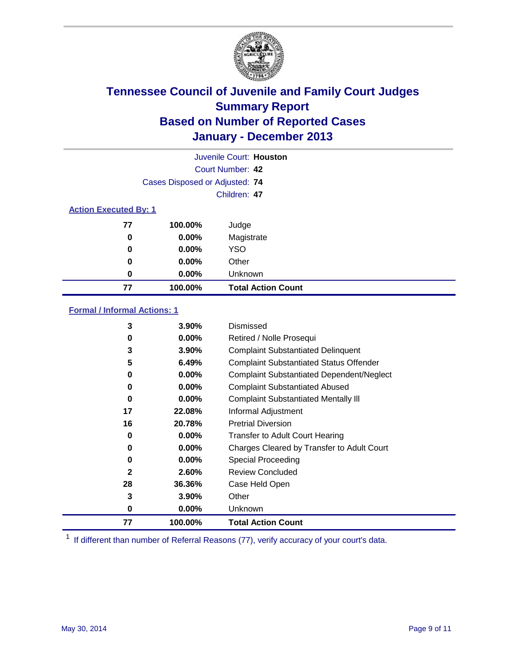

|                              | Juvenile Court: Houston        |                           |  |  |
|------------------------------|--------------------------------|---------------------------|--|--|
|                              | Court Number: 42               |                           |  |  |
|                              | Cases Disposed or Adjusted: 74 |                           |  |  |
|                              | Children: 47                   |                           |  |  |
| <b>Action Executed By: 1</b> |                                |                           |  |  |
| 77                           | 100.00%                        | Judge                     |  |  |
| 0                            | $0.00\%$                       | Magistrate                |  |  |
| 0                            | $0.00\%$                       | <b>YSO</b>                |  |  |
| 0                            | $0.00\%$                       | Other                     |  |  |
| 0                            | $0.00\%$                       | Unknown                   |  |  |
| 77                           | 100.00%                        | <b>Total Action Count</b> |  |  |

### **Formal / Informal Actions: 1**

| 3  | 3.90%    | Dismissed                                        |
|----|----------|--------------------------------------------------|
| 0  | $0.00\%$ | Retired / Nolle Prosequi                         |
| 3  | 3.90%    | <b>Complaint Substantiated Delinquent</b>        |
| 5  | 6.49%    | <b>Complaint Substantiated Status Offender</b>   |
| 0  | 0.00%    | <b>Complaint Substantiated Dependent/Neglect</b> |
| 0  | $0.00\%$ | <b>Complaint Substantiated Abused</b>            |
| 0  | $0.00\%$ | <b>Complaint Substantiated Mentally III</b>      |
| 17 | 22.08%   | Informal Adjustment                              |
| 16 | 20.78%   | <b>Pretrial Diversion</b>                        |
| 0  | $0.00\%$ | <b>Transfer to Adult Court Hearing</b>           |
| 0  | $0.00\%$ | Charges Cleared by Transfer to Adult Court       |
| 0  | $0.00\%$ | Special Proceeding                               |
| 2  | 2.60%    | <b>Review Concluded</b>                          |
| 28 | 36.36%   | Case Held Open                                   |
| 3  | 3.90%    | Other                                            |
| 0  | $0.00\%$ | Unknown                                          |
| 77 | 100.00%  | <b>Total Action Count</b>                        |

<sup>1</sup> If different than number of Referral Reasons (77), verify accuracy of your court's data.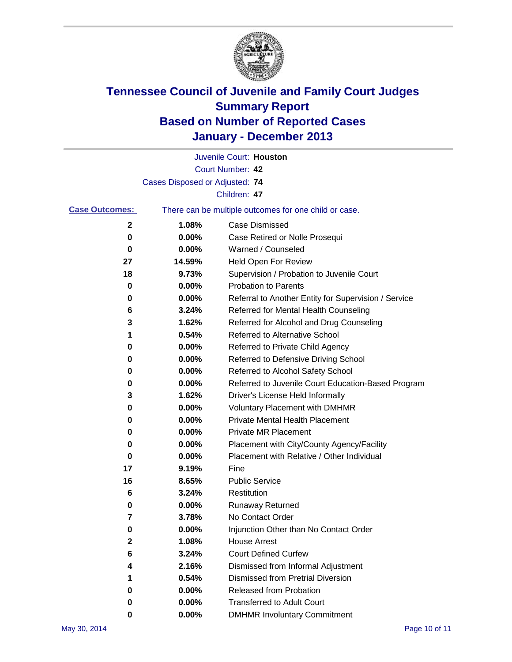

|                       |                                | Juvenile Court: Houston                               |
|-----------------------|--------------------------------|-------------------------------------------------------|
|                       |                                | Court Number: 42                                      |
|                       | Cases Disposed or Adjusted: 74 |                                                       |
|                       |                                | Children: 47                                          |
| <b>Case Outcomes:</b> |                                | There can be multiple outcomes for one child or case. |
| 2                     | 1.08%                          | <b>Case Dismissed</b>                                 |
| 0                     | 0.00%                          | Case Retired or Nolle Prosequi                        |
| 0                     | 0.00%                          | Warned / Counseled                                    |
| 27                    | 14.59%                         | Held Open For Review                                  |
| 18                    | 9.73%                          | Supervision / Probation to Juvenile Court             |
| 0                     | 0.00%                          | <b>Probation to Parents</b>                           |
| 0                     | 0.00%                          | Referral to Another Entity for Supervision / Service  |
| 6                     | 3.24%                          | Referred for Mental Health Counseling                 |
| 3                     | 1.62%                          | Referred for Alcohol and Drug Counseling              |
| 1                     | 0.54%                          | Referred to Alternative School                        |
| 0                     | 0.00%                          | Referred to Private Child Agency                      |
| 0                     | 0.00%                          | Referred to Defensive Driving School                  |
| 0                     | 0.00%                          | Referred to Alcohol Safety School                     |
| 0                     | 0.00%                          | Referred to Juvenile Court Education-Based Program    |
| 3                     | 1.62%                          | Driver's License Held Informally                      |
| 0                     | 0.00%                          | <b>Voluntary Placement with DMHMR</b>                 |
| 0                     | 0.00%                          | <b>Private Mental Health Placement</b>                |
| 0                     | 0.00%                          | Private MR Placement                                  |
| 0                     | 0.00%                          | Placement with City/County Agency/Facility            |
| 0                     | 0.00%                          | Placement with Relative / Other Individual            |
| 17                    | 9.19%                          | Fine                                                  |
| 16                    | 8.65%                          | <b>Public Service</b>                                 |
| 6                     | 3.24%                          | Restitution                                           |
| 0                     | 0.00%                          | <b>Runaway Returned</b>                               |
| 7                     | 3.78%                          | No Contact Order                                      |
| o                     | 0.00%                          | Injunction Other than No Contact Order                |
| 2                     | 1.08%                          | <b>House Arrest</b>                                   |
| 6                     | 3.24%                          | <b>Court Defined Curfew</b>                           |
| 4                     | 2.16%                          | Dismissed from Informal Adjustment                    |
| 1                     | 0.54%                          | Dismissed from Pretrial Diversion                     |
| 0                     | 0.00%                          | Released from Probation                               |
| 0                     | $0.00\%$                       | <b>Transferred to Adult Court</b>                     |
| 0                     | $0.00\%$                       | <b>DMHMR Involuntary Commitment</b>                   |